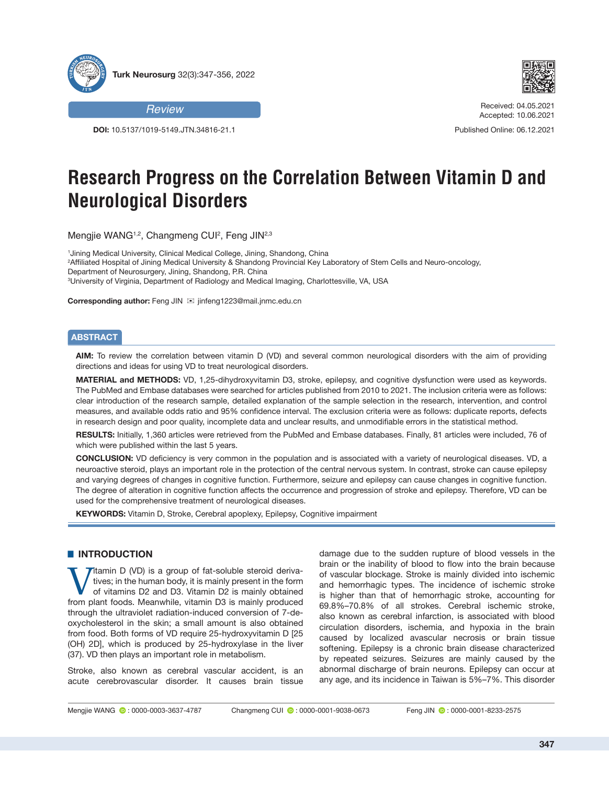



**DOI:** 10.5137/1019-5149.JTN.34816-21.1



Received: 04.05.2021 Accepted: 10.06.2021

Published Online: 06.12.2021

# **Research Progress on the Correlation Between Vitamin D and Neurological Disorders**

Mengjie WANG1,2, Changmeng CUI2 , Feng JIN2,3

 Jining Medical University, Clinical Medical College, Jining, Shandong, China Affiliated Hospital of Jining Medical University & Shandong Provincial Key Laboratory of Stem Cells and Neuro-oncology, Department of Neurosurgery, Jining, Shandong, P.R. China University of Virginia, Department of Radiology and Medical Imaging, Charlottesville, VA, USA

**Corresponding author:** Feng JIN <sup>⊠</sup> jinfeng1223@mail.jnmc.edu.cn

## **ABSTRACT**

**AIM:** To review the correlation between vitamin D (VD) and several common neurological disorders with the aim of providing directions and ideas for using VD to treat neurological disorders.

**MATERIAL and METHODS:** VD, 1,25-dihydroxyvitamin D3, stroke, epilepsy, and cognitive dysfunction were used as keywords. The PubMed and Embase databases were searched for articles published from 2010 to 2021. The inclusion criteria were as follows: clear introduction of the research sample, detailed explanation of the sample selection in the research, intervention, and control measures, and available odds ratio and 95% confidence interval. The exclusion criteria were as follows: duplicate reports, defects in research design and poor quality, incomplete data and unclear results, and unmodifiable errors in the statistical method.

**RESULTS:** Initially, 1,360 articles were retrieved from the PubMed and Embase databases. Finally, 81 articles were included, 76 of which were published within the last 5 years.

**CONCLUSION:** VD deficiency is very common in the population and is associated with a variety of neurological diseases. VD, a neuroactive steroid, plays an important role in the protection of the central nervous system. In contrast, stroke can cause epilepsy and varying degrees of changes in cognitive function. Furthermore, seizure and epilepsy can cause changes in cognitive function. The degree of alteration in cognitive function affects the occurrence and progression of stroke and epilepsy. Therefore, VD can be used for the comprehensive treatment of neurological diseases.

**KEYWORDS:** Vitamin D, Stroke, Cerebral apoplexy, Epilepsy, Cognitive impairment

## **E** INTRODUCTION

Titamin D (VD) is a group of fat-soluble steroid derivatives; in the human body, it is mainly present in the form of vitamins D2 and D3. Vitamin D2 is mainly obtained from plant foods. Meanwhile, vitamin D3 is mainly produced through the ultraviolet radiation-induced conversion of 7-deoxycholesterol in the skin; a small amount is also obtained from food. Both forms of VD require 25-hydroxyvitamin D [25 (OH) 2D], which is produced by 25-hydroxylase in the liver (37). VD then plays an important role in metabolism.

Stroke, also known as cerebral vascular accident, is an acute cerebrovascular disorder. It causes brain tissue

damage due to the sudden rupture of blood vessels in the brain or the inability of blood to flow into the brain because of vascular blockage. Stroke is mainly divided into ischemic and hemorrhagic types. The incidence of ischemic stroke is higher than that of hemorrhagic stroke, accounting for 69.8%–70.8% of all strokes. Cerebral ischemic stroke, also known as cerebral infarction, is associated with blood circulation disorders, ischemia, and hypoxia in the brain caused by localized avascular necrosis or brain tissue softening. Epilepsy is a chronic brain disease characterized by repeated seizures. Seizures are mainly caused by the abnormal discharge of brain neurons. Epilepsy can occur at any age, and its incidence in Taiwan is 5%–7%. This disorder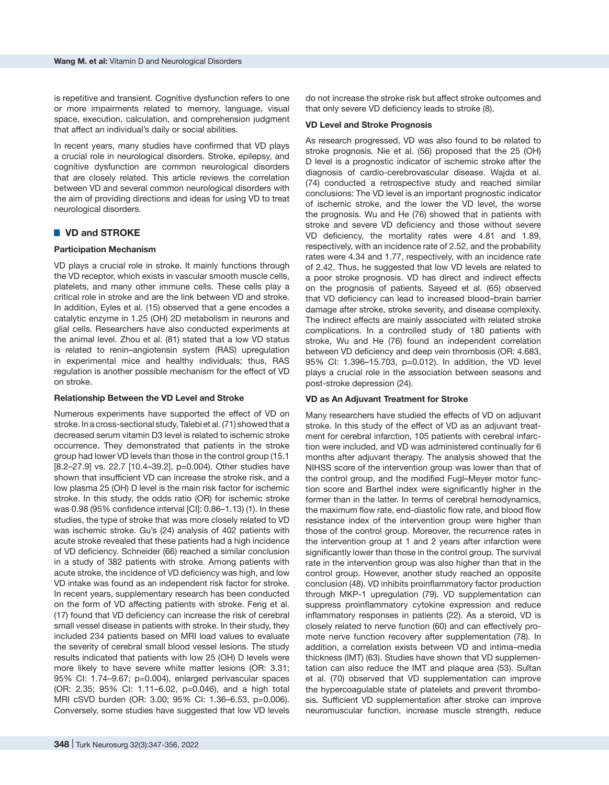is repetitive and transient. Cognitive dysfunction refers to one or more impairments related to memory, language, visual space, execution, calculation, and comprehension judgment that affect an individual's daily or social abilities.

In recent years, many studies have confirmed that VD plays a crucial role in neurological disorders. Stroke, epilepsy, and cognitive dysfunction are common neurological disorders that are closely related. This article reviews the correlation between VD and several common neurological disorders with the aim of providing directions and ideas for using VD to treat neurological disorders.

## ■ VD and STROKE

#### **Participation Mechanism**

VD plays a crucial role in stroke. It mainly functions through the VD receptor, which exists in vascular smooth muscle cells, platelets, and many other immune cells. These cells play a critical role in stroke and are the link between VD and stroke. In addition, Eyles et al. (15) observed that a gene encodes a catalytic enzyme in 1.25 (OH) 2D metabolism in neurons and glial cells. Researchers have also conducted experiments at the animal level. Zhou et al. (81) stated that a low VD status is related to renin–angiotensin system (RAS) upregulation in experimental mice and healthy individuals; thus, RAS regulation is another possible mechanism for the effect of VD on stroke.

#### **Relationship Between the VD Level and Stroke**

Numerous experiments have supported the effect of VD on stroke. In a cross-sectional study, Talebi et al. (71) showed that a decreased serum vitamin D3 level is related to ischemic stroke occurrence. They demonstrated that patients in the stroke group had lower VD levels than those in the control group (15.1 [8.2–27.9] vs. 22.7 [10.4–39.2], p=0.004). Other studies have shown that insufficient VD can increase the stroke risk, and a low plasma 25 (OH) D level is the main risk factor for ischemic stroke. In this study, the odds ratio (OR) for ischemic stroke was 0.98 (95% confidence interval [CI]: 0.86–1.13) (1). In these studies, the type of stroke that was more closely related to VD was ischemic stroke. Gu's (24) analysis of 402 patients with acute stroke revealed that these patients had a high incidence of VD deficiency. Schneider (66) reached a similar conclusion in a study of 382 patients with stroke. Among patients with acute stroke, the incidence of VD deficiency was high, and low VD intake was found as an independent risk factor for stroke. In recent years, supplementary research has been conducted on the form of VD affecting patients with stroke. Feng et al. (17) found that VD deficiency can increase the risk of cerebral small vessel disease in patients with stroke. In their study, they included 234 patients based on MRI load values to evaluate the severity of cerebral small blood vessel lesions. The study results indicated that patients with low 25 (OH) D levels were more likely to have severe white matter lesions (OR: 3.31; 95% CI: 1.74–9.67; p=0.004), enlarged perivascular spaces (OR: 2.35; 95% CI: 1.11–6.02, p=0.046), and a high total MRI cSVD burden (OR: 3.00; 95% CI: 1.36–6.53, p=0.006). Conversely, some studies have suggested that low VD levels

#### **VD Level and Stroke Prognosis**

As research progressed, VD was also found to be related to stroke prognosis. Nie et al. (56) proposed that the 25 (OH) D level is a prognostic indicator of ischemic stroke after the diagnosis of cardio-cerebrovascular disease. Wajda et al. (74) conducted a retrospective study and reached similar conclusions: The VD level is an important prognostic indicator of ischemic stroke, and the lower the VD level, the worse the prognosis. Wu and He (76) showed that in patients with stroke and severe VD deficiency and those without severe VD deficiency, the mortality rates were 4.81 and 1.89, respectively, with an incidence rate of 2.52, and the probability rates were 4.34 and 1.77, respectively, with an incidence rate of 2.42. Thus, he suggested that low VD levels are related to a poor stroke prognosis. VD has direct and indirect effects on the prognosis of patients. Sayeed et al. (65) observed that VD deficiency can lead to increased blood–brain barrier damage after stroke, stroke severity, and disease complexity. The indirect effects are mainly associated with related stroke complications. In a controlled study of 180 patients with stroke, Wu and He (76) found an independent correlation between VD deficiency and deep vein thrombosis (OR: 4.683, 95% CI: 1.396–15.703, p=0.012). In addition, the VD level plays a crucial role in the association between seasons and post-stroke depression (24).

#### **VD as An Adjuvant Treatment for Stroke**

Many researchers have studied the effects of VD on adjuvant stroke. In this study of the effect of VD as an adjuvant treatment for cerebral infarction, 105 patients with cerebral infarction were included, and VD was administered continually for 6 months after adjuvant therapy. The analysis showed that the NIHSS score of the intervention group was lower than that of the control group, and the modified Fugl–Meyer motor function score and Barthel index were significantly higher in the former than in the latter. In terms of cerebral hemodynamics, the maximum flow rate, end-diastolic flow rate, and blood flow resistance index of the intervention group were higher than those of the control group. Moreover, the recurrence rates in the intervention group at 1 and 2 years after infarction were significantly lower than those in the control group. The survival rate in the intervention group was also higher than that in the control group. However, another study reached an opposite conclusion (48). VD inhibits proinflammatory factor production through MKP-1 upregulation (79). VD supplementation can suppress proinflammatory cytokine expression and reduce inflammatory responses in patients (22). As a steroid, VD is closely related to nerve function (60) and can effectively promote nerve function recovery after supplementation (78). In addition, a correlation exists between VD and intima–media thickness (IMT) (63). Studies have shown that VD supplementation can also reduce the IMT and plaque area (53). Sultan et al. (70) observed that VD supplementation can improve the hypercoagulable state of platelets and prevent thrombosis. Sufficient VD supplementation after stroke can improve neuromuscular function, increase muscle strength, reduce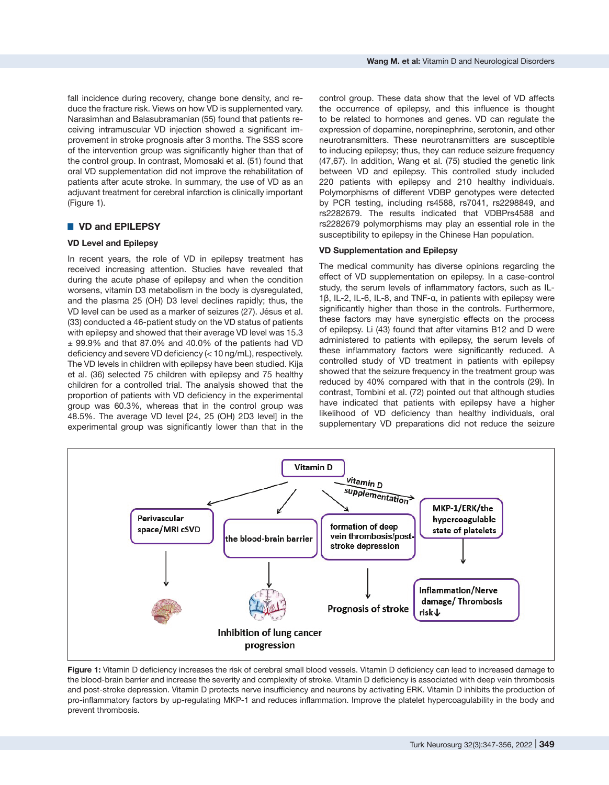fall incidence during recovery, change bone density, and reduce the fracture risk. Views on how VD is supplemented vary. Narasimhan and Balasubramanian (55) found that patients receiving intramuscular VD injection showed a significant improvement in stroke prognosis after 3 months. The SSS score of the intervention group was significantly higher than that of the control group. In contrast, Momosaki et al. (51) found that oral VD supplementation did not improve the rehabilitation of patients after acute stroke. In summary, the use of VD as an adjuvant treatment for cerebral infarction is clinically important (Figure 1).

## █ **VD and EPILEPSY**

## **VD Level and Epilepsy**

In recent years, the role of VD in epilepsy treatment has received increasing attention. Studies have revealed that during the acute phase of epilepsy and when the condition worsens, vitamin D3 metabolism in the body is dysregulated, and the plasma 25 (OH) D3 level declines rapidly; thus, the VD level can be used as a marker of seizures (27). Jésus et al. (33) conducted a 46-patient study on the VD status of patients with epilepsy and showed that their average VD level was 15.3  $\pm$  99.9% and that 87.0% and 40.0% of the patients had VD deficiency and severe VD deficiency (< 10 ng/mL), respectively. The VD levels in children with epilepsy have been studied. Kija et al. (36) selected 75 children with epilepsy and 75 healthy children for a controlled trial. The analysis showed that the proportion of patients with VD deficiency in the experimental group was 60.3%, whereas that in the control group was 48.5%. The average VD level [24, 25 (OH) 2D3 level] in the experimental group was significantly lower than that in the control group. These data show that the level of VD affects the occurrence of epilepsy, and this influence is thought to be related to hormones and genes. VD can regulate the expression of dopamine, norepinephrine, serotonin, and other neurotransmitters. These neurotransmitters are susceptible to inducing epilepsy; thus, they can reduce seizure frequency (47,67). In addition, Wang et al. (75) studied the genetic link between VD and epilepsy. This controlled study included 220 patients with epilepsy and 210 healthy individuals. Polymorphisms of different VDBP genotypes were detected by PCR testing, including rs4588, rs7041, rs2298849, and rs2282679. The results indicated that VDBPrs4588 and rs2282679 polymorphisms may play an essential role in the susceptibility to epilepsy in the Chinese Han population.

#### **VD Supplementation and Epilepsy**

The medical community has diverse opinions regarding the effect of VD supplementation on epilepsy. In a case-control study, the serum levels of inflammatory factors, such as IL-1β, IL-2, IL-6, IL-8, and TNF-α, in patients with epilepsy were significantly higher than those in the controls. Furthermore, these factors may have synergistic effects on the process of epilepsy. Li (43) found that after vitamins B12 and D were administered to patients with epilepsy, the serum levels of these inflammatory factors were significantly reduced. A controlled study of VD treatment in patients with epilepsy showed that the seizure frequency in the treatment group was reduced by 40% compared with that in the controls (29). In contrast, Tombini et al. (72) pointed out that although studies have indicated that patients with epilepsy have a higher likelihood of VD deficiency than healthy individuals, oral supplementary VD preparations did not reduce the seizure



**Figure 1:** Vitamin D deficiency increases the risk of cerebral small blood vessels. Vitamin D deficiency can lead to increased damage to the blood-brain barrier and increase the severity and complexity of stroke. Vitamin D deficiency is associated with deep vein thrombosis and post-stroke depression. Vitamin D protects nerve insufficiency and neurons by activating ERK. Vitamin D inhibits the production of pro-inflammatory factors by up-regulating MKP-1 and reduces inflammation. Improve the platelet hypercoagulability in the body and prevent thrombosis.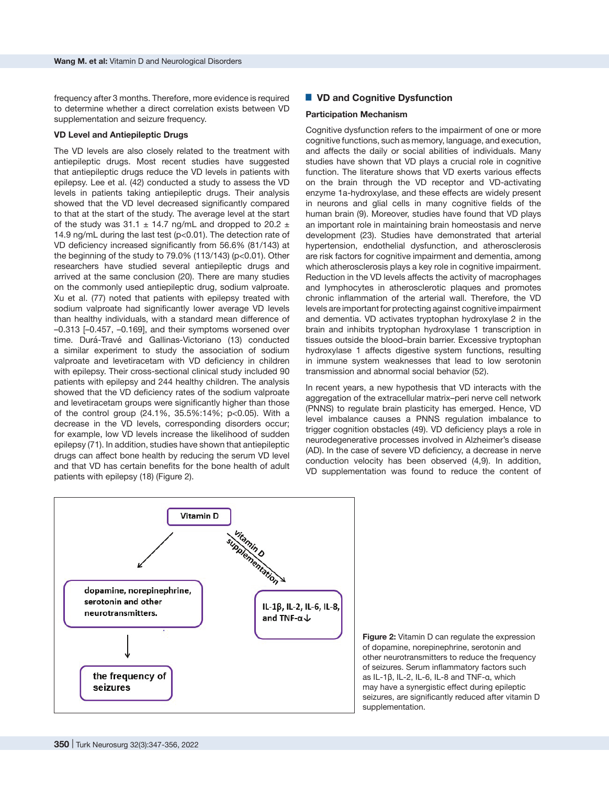frequency after 3 months. Therefore, more evidence is required to determine whether a direct correlation exists between VD supplementation and seizure frequency.

#### **VD Level and Antiepileptic Drugs**

The VD levels are also closely related to the treatment with antiepileptic drugs. Most recent studies have suggested that antiepileptic drugs reduce the VD levels in patients with epilepsy. Lee et al. (42) conducted a study to assess the VD levels in patients taking antiepileptic drugs. Their analysis showed that the VD level decreased significantly compared to that at the start of the study. The average level at the start of the study was 31.1  $\pm$  14.7 ng/mL and dropped to 20.2  $\pm$ 14.9 ng/mL during the last test (p<0.01). The detection rate of VD deficiency increased significantly from 56.6% (81/143) at the beginning of the study to 79.0% (113/143) (p<0.01). Other researchers have studied several antiepileptic drugs and arrived at the same conclusion (20). There are many studies on the commonly used antiepileptic drug, sodium valproate. Xu et al. (77) noted that patients with epilepsy treated with sodium valproate had significantly lower average VD levels than healthy individuals, with a standard mean difference of –0.313 [–0.457, –0.169], and their symptoms worsened over time. Durá-Travé and Gallinas-Victoriano (13) conducted a similar experiment to study the association of sodium valproate and levetiracetam with VD deficiency in children with epilepsy. Their cross-sectional clinical study included 90 patients with epilepsy and 244 healthy children. The analysis showed that the VD deficiency rates of the sodium valproate and levetiracetam groups were significantly higher than those of the control group (24.1%, 35.5%:14%; p<0.05). With a decrease in the VD levels, corresponding disorders occur; for example, low VD levels increase the likelihood of sudden epilepsy (71). In addition, studies have shown that antiepileptic drugs can affect bone health by reducing the serum VD level and that VD has certain benefits for the bone health of adult patients with epilepsy (18) (Figure 2).

## ■ VD and Cognitive Dysfunction

#### **Participation Mechanism**

Cognitive dysfunction refers to the impairment of one or more cognitive functions, such as memory, language, and execution, and affects the daily or social abilities of individuals. Many studies have shown that VD plays a crucial role in cognitive function. The literature shows that VD exerts various effects on the brain through the VD receptor and VD-activating enzyme 1a-hydroxylase, and these effects are widely present in neurons and glial cells in many cognitive fields of the human brain (9). Moreover, studies have found that VD plays an important role in maintaining brain homeostasis and nerve development (23). Studies have demonstrated that arterial hypertension, endothelial dysfunction, and atherosclerosis are risk factors for cognitive impairment and dementia, among which atherosclerosis plays a key role in cognitive impairment. Reduction in the VD levels affects the activity of macrophages and lymphocytes in atherosclerotic plaques and promotes chronic inflammation of the arterial wall. Therefore, the VD levels are important for protecting against cognitive impairment and dementia. VD activates tryptophan hydroxylase 2 in the brain and inhibits tryptophan hydroxylase 1 transcription in tissues outside the blood–brain barrier. Excessive tryptophan hydroxylase 1 affects digestive system functions, resulting in immune system weaknesses that lead to low serotonin transmission and abnormal social behavior (52).

In recent years, a new hypothesis that VD interacts with the aggregation of the extracellular matrix–peri nerve cell network (PNNS) to regulate brain plasticity has emerged. Hence, VD level imbalance causes a PNNS regulation imbalance to trigger cognition obstacles (49). VD deficiency plays a role in neurodegenerative processes involved in Alzheimer's disease (AD). In the case of severe VD deficiency, a decrease in nerve conduction velocity has been observed (4,9). In addition, VD supplementation was found to reduce the content of



**Figure 2:** Vitamin D can regulate the expression of dopamine, norepinephrine, serotonin and other neurotransmitters to reduce the frequency of seizures. Serum inflammatory factors such as IL-1β, IL-2, IL-6, IL-8 and TNF-α, which may have a synergistic effect during epileptic seizures, are significantly reduced after vitamin D supplementation.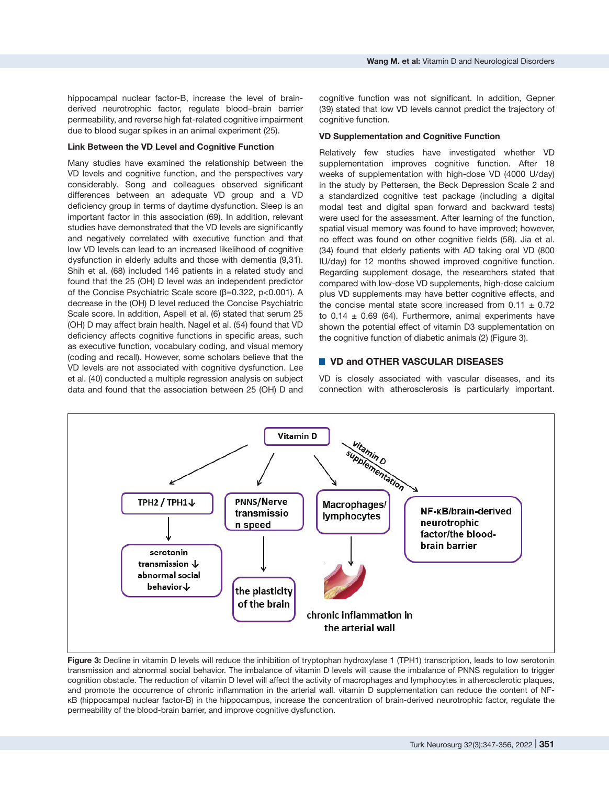#### **Link Between the VD Level and Cognitive Function**

Many studies have examined the relationship between the VD levels and cognitive function, and the perspectives vary considerably. Song and colleagues observed significant differences between an adequate VD group and a VD deficiency group in terms of daytime dysfunction. Sleep is an important factor in this association (69). In addition, relevant studies have demonstrated that the VD levels are significantly and negatively correlated with executive function and that low VD levels can lead to an increased likelihood of cognitive dysfunction in elderly adults and those with dementia (9,31). Shih et al. (68) included 146 patients in a related study and found that the 25 (OH) D level was an independent predictor of the Concise Psychiatric Scale score (β=0.322, p<0.001). A decrease in the (OH) D level reduced the Concise Psychiatric Scale score. In addition, Aspell et al. (6) stated that serum 25 (OH) D may affect brain health. Nagel et al. (54) found that VD deficiency affects cognitive functions in specific areas, such as executive function, vocabulary coding, and visual memory (coding and recall). However, some scholars believe that the VD levels are not associated with cognitive dysfunction. Lee et al. (40) conducted a multiple regression analysis on subject data and found that the association between 25 (OH) D and

cognitive function was not significant. In addition, Gepner (39) stated that low VD levels cannot predict the trajectory of cognitive function.

#### **VD Supplementation and Cognitive Function**

Relatively few studies have investigated whether VD supplementation improves cognitive function. After 18 weeks of supplementation with high-dose VD (4000 U/day) in the study by Pettersen, the Beck Depression Scale 2 and a standardized cognitive test package (including a digital modal test and digital span forward and backward tests) were used for the assessment. After learning of the function, spatial visual memory was found to have improved; however, no effect was found on other cognitive fields (58). Jia et al. (34) found that elderly patients with AD taking oral VD (800 IU/day) for 12 months showed improved cognitive function. Regarding supplement dosage, the researchers stated that compared with low-dose VD supplements, high-dose calcium plus VD supplements may have better cognitive effects, and the concise mental state score increased from  $0.11 \pm 0.72$ to  $0.14 \pm 0.69$  (64). Furthermore, animal experiments have shown the potential effect of vitamin D3 supplementation on the cognitive function of diabetic animals (2) (Figure 3).

## █ **VD and OTHER VASCULAR DISEASES**

VD is closely associated with vascular diseases, and its connection with atherosclerosis is particularly important.



**Figure 3:** Decline in vitamin D levels will reduce the inhibition of tryptophan hydroxylase 1 (TPH1) transcription, leads to low serotonin transmission and abnormal social behavior. The imbalance of vitamin D levels will cause the imbalance of PNNS regulation to trigger cognition obstacle. The reduction of vitamin D level will affect the activity of macrophages and lymphocytes in atherosclerotic plaques, and promote the occurrence of chronic inflammation in the arterial wall. vitamin D supplementation can reduce the content of NFκB (hippocampal nuclear factor-B) in the hippocampus, increase the concentration of brain-derived neurotrophic factor, regulate the permeability of the blood-brain barrier, and improve cognitive dysfunction.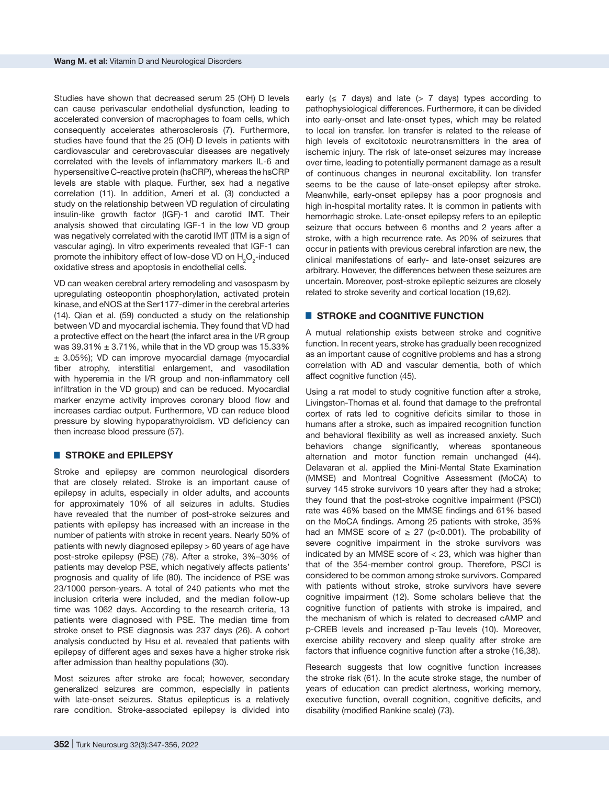Studies have shown that decreased serum 25 (OH) D levels can cause perivascular endothelial dysfunction, leading to accelerated conversion of macrophages to foam cells, which consequently accelerates atherosclerosis (7). Furthermore, studies have found that the 25 (OH) D levels in patients with cardiovascular and cerebrovascular diseases are negatively correlated with the levels of inflammatory markers IL-6 and hypersensitive C-reactive protein (hsCRP), whereas the hsCRP levels are stable with plaque. Further, sex had a negative correlation (11). In addition, Ameri et al. (3) conducted a study on the relationship between VD regulation of circulating insulin-like growth factor (IGF)-1 and carotid IMT. Their analysis showed that circulating IGF-1 in the low VD group was negatively correlated with the carotid IMT (ITM is a sign of vascular aging). In vitro experiments revealed that IGF-1 can promote the inhibitory effect of low-dose VD on  $H_2O_2$ -induced oxidative stress and apoptosis in endothelial cells.

VD can weaken cerebral artery remodeling and vasospasm by upregulating osteopontin phosphorylation, activated protein kinase, and eNOS at the Ser1177-dimer in the cerebral arteries (14). Qian et al. (59) conducted a study on the relationship between VD and myocardial ischemia. They found that VD had a protective effect on the heart (the infarct area in the I/R group was  $39.31\% \pm 3.71\%$ , while that in the VD group was 15.33% ± 3.05%); VD can improve myocardial damage (myocardial fiber atrophy, interstitial enlargement, and vasodilation with hyperemia in the I/R group and non-inflammatory cell infiltration in the VD group) and can be reduced. Myocardial marker enzyme activity improves coronary blood flow and increases cardiac output. Furthermore, VD can reduce blood pressure by slowing hypoparathyroidism. VD deficiency can then increase blood pressure (57).

#### █ **STROKE and EPILEPSY**

Stroke and epilepsy are common neurological disorders that are closely related. Stroke is an important cause of epilepsy in adults, especially in older adults, and accounts for approximately 10% of all seizures in adults. Studies have revealed that the number of post-stroke seizures and patients with epilepsy has increased with an increase in the number of patients with stroke in recent years. Nearly 50% of patients with newly diagnosed epilepsy > 60 years of age have post-stroke epilepsy (PSE) (78). After a stroke, 3%–30% of patients may develop PSE, which negatively affects patients' prognosis and quality of life (80). The incidence of PSE was 23/1000 person-years. A total of 240 patients who met the inclusion criteria were included, and the median follow-up time was 1062 days. According to the research criteria, 13 patients were diagnosed with PSE. The median time from stroke onset to PSE diagnosis was 237 days (26). A cohort analysis conducted by Hsu et al. revealed that patients with epilepsy of different ages and sexes have a higher stroke risk after admission than healthy populations (30).

Most seizures after stroke are focal; however, secondary generalized seizures are common, especially in patients with late-onset seizures. Status epilepticus is a relatively rare condition. Stroke-associated epilepsy is divided into

early  $(\leq 7 \text{ days})$  and late  $(> 7 \text{ days})$  types according to pathophysiological differences. Furthermore, it can be divided into early-onset and late-onset types, which may be related to local ion transfer. Ion transfer is related to the release of high levels of excitotoxic neurotransmitters in the area of ischemic injury. The risk of late-onset seizures may increase over time, leading to potentially permanent damage as a result of continuous changes in neuronal excitability. Ion transfer seems to be the cause of late-onset epilepsy after stroke. Meanwhile, early-onset epilepsy has a poor prognosis and high in-hospital mortality rates. It is common in patients with hemorrhagic stroke. Late-onset epilepsy refers to an epileptic seizure that occurs between 6 months and 2 years after a stroke, with a high recurrence rate. As 20% of seizures that occur in patients with previous cerebral infarction are new, the clinical manifestations of early- and late-onset seizures are arbitrary. However, the differences between these seizures are uncertain. Moreover, post-stroke epileptic seizures are closely related to stroke severity and cortical location (19,62).

## █ **STROKE and COGNITIVE FUNCTION**

A mutual relationship exists between stroke and cognitive function. In recent years, stroke has gradually been recognized as an important cause of cognitive problems and has a strong correlation with AD and vascular dementia, both of which affect cognitive function (45).

Using a rat model to study cognitive function after a stroke, Livingston-Thomas et al. found that damage to the prefrontal cortex of rats led to cognitive deficits similar to those in humans after a stroke, such as impaired recognition function and behavioral flexibility as well as increased anxiety. Such behaviors change significantly, whereas spontaneous alternation and motor function remain unchanged (44). Delavaran et al. applied the Mini-Mental State Examination (MMSE) and Montreal Cognitive Assessment (MoCA) to survey 145 stroke survivors 10 years after they had a stroke; they found that the post-stroke cognitive impairment (PSCI) rate was 46% based on the MMSE findings and 61% based on the MoCA findings. Among 25 patients with stroke, 35% had an MMSE score of  $\geq$  27 (p<0.001). The probability of severe cognitive impairment in the stroke survivors was indicated by an MMSE score of < 23, which was higher than that of the 354-member control group. Therefore, PSCI is considered to be common among stroke survivors. Compared with patients without stroke, stroke survivors have severe cognitive impairment (12). Some scholars believe that the cognitive function of patients with stroke is impaired, and the mechanism of which is related to decreased cAMP and p-CREB levels and increased p-Tau levels (10). Moreover, exercise ability recovery and sleep quality after stroke are factors that influence cognitive function after a stroke (16,38).

Research suggests that low cognitive function increases the stroke risk (61). In the acute stroke stage, the number of years of education can predict alertness, working memory, executive function, overall cognition, cognitive deficits, and disability (modified Rankine scale) (73).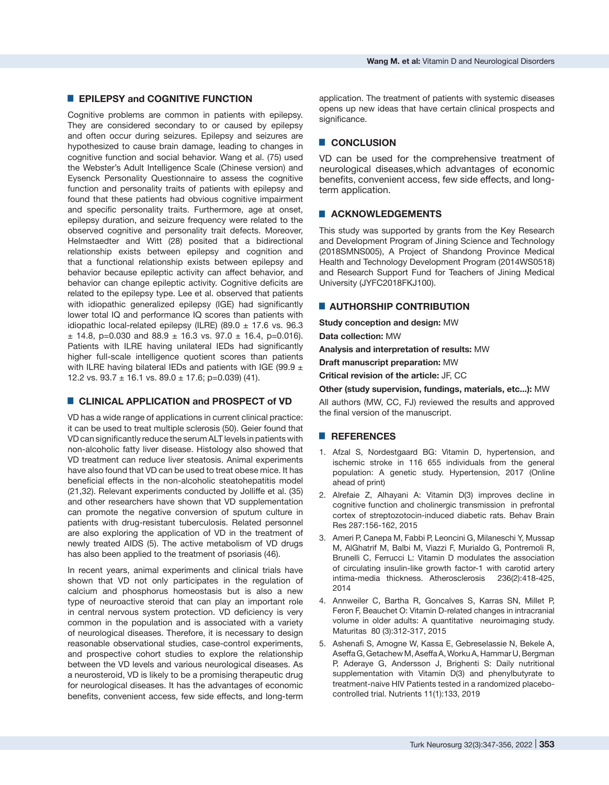## █ **EPILEPSY and COGNITIVE FUNCTION**

Cognitive problems are common in patients with epilepsy. They are considered secondary to or caused by epilepsy and often occur during seizures. Epilepsy and seizures are hypothesized to cause brain damage, leading to changes in cognitive function and social behavior. Wang et al. (75) used the Webster's Adult Intelligence Scale (Chinese version) and Eysenck Personality Questionnaire to assess the cognitive function and personality traits of patients with epilepsy and found that these patients had obvious cognitive impairment and specific personality traits. Furthermore, age at onset, epilepsy duration, and seizure frequency were related to the observed cognitive and personality trait defects. Moreover, Helmstaedter and Witt (28) posited that a bidirectional relationship exists between epilepsy and cognition and that a functional relationship exists between epilepsy and behavior because epileptic activity can affect behavior, and behavior can change epileptic activity. Cognitive deficits are related to the epilepsy type. Lee et al. observed that patients with idiopathic generalized epilepsy (IGE) had significantly lower total IQ and performance IQ scores than patients with idiopathic local-related epilepsy (ILRE) (89.0  $\pm$  17.6 vs. 96.3  $\pm$  14.8, p=0.030 and 88.9  $\pm$  16.3 vs. 97.0  $\pm$  16.4, p=0.016). Patients with ILRE having unilateral IEDs had significantly higher full-scale intelligence quotient scores than patients with ILRE having bilateral IEDs and patients with IGE (99.9  $\pm$ 12.2 vs.  $93.7 \pm 16.1$  vs.  $89.0 \pm 17.6$ ; p=0.039) (41).

## ■ CLINICAL APPLICATION and PROSPECT of VD

VD has a wide range of applications in current clinical practice: it can be used to treat multiple sclerosis (50). Geier found that VD can significantly reduce the serum ALT levels in patients with non-alcoholic fatty liver disease. Histology also showed that VD treatment can reduce liver steatosis. Animal experiments have also found that VD can be used to treat obese mice. It has beneficial effects in the non-alcoholic steatohepatitis model (21,32). Relevant experiments conducted by Jolliffe et al. (35) and other researchers have shown that VD supplementation can promote the negative conversion of sputum culture in patients with drug-resistant tuberculosis. Related personnel are also exploring the application of VD in the treatment of newly treated AIDS (5). The active metabolism of VD drugs has also been applied to the treatment of psoriasis (46).

In recent years, animal experiments and clinical trials have shown that VD not only participates in the regulation of calcium and phosphorus homeostasis but is also a new type of neuroactive steroid that can play an important role in central nervous system protection. VD deficiency is very common in the population and is associated with a variety of neurological diseases. Therefore, it is necessary to design reasonable observational studies, case-control experiments, and prospective cohort studies to explore the relationship between the VD levels and various neurological diseases. As a neurosteroid, VD is likely to be a promising therapeutic drug for neurological diseases. It has the advantages of economic benefits, convenient access, few side effects, and long-term

application. The treatment of patients with systemic diseases opens up new ideas that have certain clinical prospects and significance.

## █ **CONCLUSION**

VD can be used for the comprehensive treatment of neurological diseases,which advantages of economic benefits, convenient access, few side effects, and longterm application.

## █ **ACKNOWLEDGEMENTS**

This study was supported by grants from the Key Research and Development Program of Jining Science and Technology (2018SMNS005), A Project of Shandong Province Medical Health and Technology Development Program (2014WS0518) and Research Support Fund for Teachers of Jining Medical University (JYFC2018FKJ100).

#### **E** AUTHORSHIP CONTRIBUTION

**Study conception and design:** MW

**Data collection:** MW

**Analysis and interpretation of results:** MW

**Draft manuscript preparation:** MW

**Critical revision of the article:** JF, CC

#### **Other (study supervision, fundings, materials, etc...):** MW

All authors (MW, CC, FJ) reviewed the results and approved the final version of the manuscript.

## █ **REFERENCES**

- 1. Afzal S, Nordestgaard BG: Vitamin D, hypertension, and ischemic stroke in 116 655 individuals from the general population: A genetic study. Hypertension, 2017 (Online ahead of print)
- 2. Alrefaie Z, Alhayani A: Vitamin D(3) improves decline in cognitive function and cholinergic transmission in prefrontal cortex of streptozotocin-induced diabetic rats. Behav Brain Res 287:156-162, 2015
- 3. Ameri P, Canepa M, Fabbi P, Leoncini G, Milaneschi Y, Mussap M, AlGhatrif M, Balbi M, Viazzi F, Murialdo G, Pontremoli R, Brunelli C, Ferrucci L: Vitamin D modulates the association of circulating insulin-like growth factor-1 with carotid artery intima-media thickness. Atherosclerosis 236(2):418-425, 2014
- 4. Annweiler C, Bartha R, Goncalves S, Karras SN, Millet P, Feron F, Beauchet O: Vitamin D-related changes in intracranial volume in older adults: A quantitative neuroimaging study. Maturitas 80 (3):312-317, 2015
- 5. Ashenafi S, Amogne W, Kassa E, Gebreselassie N, Bekele A, Aseffa G, Getachew M, Aseffa A, Worku A, Hammar U, Bergman P, Aderaye G, Andersson J, Brighenti S: Daily nutritional supplementation with Vitamin D(3) and phenylbutyrate to treatment-naive HIV Patients tested in a randomized placebocontrolled trial. Nutrients 11(1):133, 2019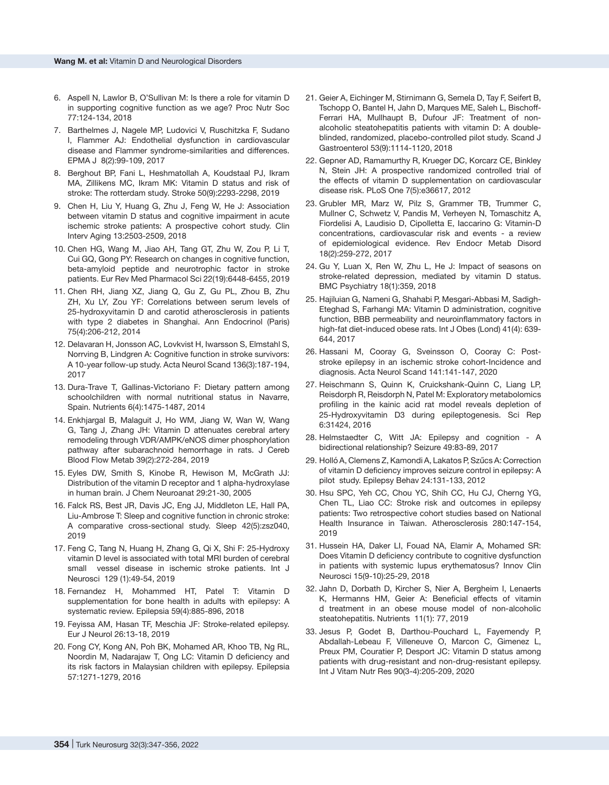- 6. Aspell N, Lawlor B, O'Sullivan M: Is there a role for vitamin D in supporting cognitive function as we age? Proc Nutr Soc 77:124-134, 2018
- 7. Barthelmes J, Nagele MP, Ludovici V, Ruschitzka F, Sudano I, Flammer AJ: Endothelial dysfunction in cardiovascular disease and Flammer syndrome-similarities and differences. EPMA J 8(2):99-109, 2017
- 8. Berghout BP, Fani L, Heshmatollah A, Koudstaal PJ, Ikram MA, Zillikens MC, Ikram MK: Vitamin D status and risk of stroke: The rotterdam study. Stroke 50(9):2293-2298, 2019
- 9. Chen H, Liu Y, Huang G, Zhu J, Feng W, He J: Association between vitamin D status and cognitive impairment in acute ischemic stroke patients: A prospective cohort study. Clin Interv Aging 13:2503-2509, 2018
- 10. Chen HG, Wang M, Jiao AH, Tang GT, Zhu W, Zou P, Li T, Cui GQ, Gong PY: Research on changes in cognitive function, beta-amyloid peptide and neurotrophic factor in stroke patients. Eur Rev Med Pharmacol Sci 22(19):6448-6455, 2019
- 11. Chen RH, Jiang XZ, Jiang Q, Gu Z, Gu PL, Zhou B, Zhu ZH, Xu LY, Zou YF: Correlations between serum levels of 25-hydroxyvitamin D and carotid atherosclerosis in patients with type 2 diabetes in Shanghai. Ann Endocrinol (Paris) 75(4):206-212, 2014
- 12. Delavaran H, Jonsson AC, Lovkvist H, Iwarsson S, Elmstahl S, Norrving B, Lindgren A: Cognitive function in stroke survivors: A 10-year follow-up study. Acta Neurol Scand 136(3):187-194, 2017
- 13. Dura-Trave T, Gallinas-Victoriano F: Dietary pattern among schoolchildren with normal nutritional status in Navarre, Spain. Nutrients 6(4):1475-1487, 2014
- 14. Enkhjargal B, Malaguit J, Ho WM, Jiang W, Wan W, Wang G, Tang J, Zhang JH: Vitamin D attenuates cerebral artery remodeling through VDR/AMPK/eNOS dimer phosphorylation pathway after subarachnoid hemorrhage in rats. J Cereb Blood Flow Metab 39(2):272-284, 2019
- 15. Eyles DW, Smith S, Kinobe R, Hewison M, McGrath JJ: Distribution of the vitamin D receptor and 1 alpha-hydroxylase in human brain. J Chem Neuroanat 29:21-30, 2005
- 16. Falck RS, Best JR, Davis JC, Eng JJ, Middleton LE, Hall PA, Liu-Ambrose T: Sleep and cognitive function in chronic stroke: A comparative cross-sectional study. Sleep 42(5):zsz040, 2019
- 17. Feng C, Tang N, Huang H, Zhang G, Qi X, Shi F: 25-Hydroxy vitamin D level is associated with total MRI burden of cerebral small vessel disease in ischemic stroke patients. Int J Neurosci 129 (1):49-54, 2019
- 18. Fernandez H, Mohammed HT, Patel T: Vitamin D supplementation for bone health in adults with epilepsy: A systematic review. Epilepsia 59(4):885-896, 2018
- 19. Feyissa AM, Hasan TF, Meschia JF: Stroke-related epilepsy. Eur J Neurol 26:13-18, 2019
- 20. Fong CY, Kong AN, Poh BK, Mohamed AR, Khoo TB, Ng RL, Noordin M, Nadarajaw T, Ong LC: Vitamin D deficiency and its risk factors in Malaysian children with epilepsy. Epilepsia 57:1271-1279, 2016
- 21. Geier A, Eichinger M, Stirnimann G, Semela D, Tay F, Seifert B, Tschopp O, Bantel H, Jahn D, Marques ME, Saleh L, Bischoff-Ferrari HA, Mullhaupt B, Dufour JF: Treatment of nonalcoholic steatohepatitis patients with vitamin D: A doubleblinded, randomized, placebo-controlled pilot study. Scand J Gastroenterol 53(9):1114-1120, 2018
- 22. Gepner AD, Ramamurthy R, Krueger DC, Korcarz CE, Binkley N, Stein JH: A prospective randomized controlled trial of the effects of vitamin D supplementation on cardiovascular disease risk. PLoS One 7(5):e36617, 2012
- 23. Grubler MR, Marz W, Pilz S, Grammer TB, Trummer C, Mullner C, Schwetz V, Pandis M, Verheyen N, Tomaschitz A, Fiordelisi A, Laudisio D, Cipolletta E, Iaccarino G: Vitamin-D concentrations, cardiovascular risk and events - a review of epidemiological evidence. Rev Endocr Metab Disord 18(2):259-272, 2017
- 24. Gu Y, Luan X, Ren W, Zhu L, He J: Impact of seasons on stroke-related depression, mediated by vitamin D status. BMC Psychiatry 18(1):359, 2018
- 25. Hajiluian G, Nameni G, Shahabi P, Mesgari-Abbasi M, Sadigh-Eteghad S, Farhangi MA: Vitamin D administration, cognitive function, BBB permeability and neuroinflammatory factors in high-fat diet-induced obese rats. Int J Obes (Lond) 41(4): 639- 644, 2017
- 26. Hassani M, Cooray G, Sveinsson O, Cooray C: Poststroke epilepsy in an ischemic stroke cohort-Incidence and diagnosis. Acta Neurol Scand 141:141-147, 2020
- 27. Heischmann S, Quinn K, Cruickshank-Quinn C, Liang LP, Reisdorph R, Reisdorph N, Patel M: Exploratory metabolomics profiling in the kainic acid rat model reveals depletion of 25-Hydroxyvitamin D3 during epileptogenesis. Sci Rep 6:31424, 2016
- 28. Helmstaedter C, Witt JA: Epilepsy and cognition A bidirectional relationship? Seizure 49:83-89, 2017
- 29. Holló A, Clemens Z, Kamondi A, Lakatos P, Szűcs A: Correction of vitamin D deficiency improves seizure control in epilepsy: A pilot study. Epilepsy Behav 24:131-133, 2012
- 30. Hsu SPC, Yeh CC, Chou YC, Shih CC, Hu CJ, Cherng YG, Chen TL, Liao CC: Stroke risk and outcomes in epilepsy patients: Two retrospective cohort studies based on National Health Insurance in Taiwan. Atherosclerosis 280:147-154, 2019
- 31. Hussein HA, Daker LI, Fouad NA, Elamir A, Mohamed SR: Does Vitamin D deficiency contribute to cognitive dysfunction in patients with systemic lupus erythematosus? Innov Clin Neurosci 15(9-10):25-29, 2018
- 32. Jahn D, Dorbath D, Kircher S, Nier A, Bergheim I, Lenaerts K, Hermanns HM, Geier A: Beneficial effects of vitamin d treatment in an obese mouse model of non-alcoholic steatohepatitis. Nutrients 11(1): 77, 2019
- 33. Jesus P, Godet B, Darthou-Pouchard L, Fayemendy P, Abdallah-Lebeau F, Villeneuve O, Marcon C, Gimenez L, Preux PM, Couratier P, Desport JC: Vitamin D status among patients with drug-resistant and non-drug-resistant epilepsy. Int J Vitam Nutr Res 90(3-4):205-209, 2020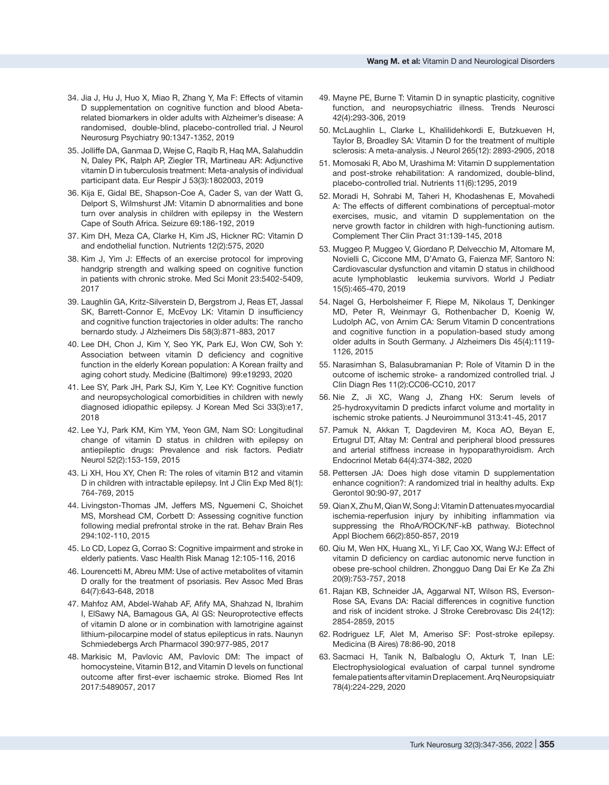- 34. Jia J, Hu J, Huo X, Miao R, Zhang Y, Ma F: Effects of vitamin D supplementation on cognitive function and blood Abetarelated biomarkers in older adults with Alzheimer's disease: A randomised, double-blind, placebo-controlled trial. J Neurol Neurosurg Psychiatry 90:1347-1352, 2019
- 35. Jolliffe DA, Ganmaa D, Wejse C, Raqib R, Haq MA, Salahuddin N, Daley PK, Ralph AP, Ziegler TR, Martineau AR: Adjunctive vitamin D in tuberculosis treatment: Meta-analysis of individual participant data. Eur Respir J 53(3):1802003, 2019
- 36. Kija E, Gidal BE, Shapson-Coe A, Cader S, van der Watt G, Delport S, Wilmshurst JM: Vitamin D abnormalities and bone turn over analysis in children with epilepsy in the Western Cape of South Africa. Seizure 69:186-192, 2019
- 37. Kim DH, Meza CA, Clarke H, Kim JS, Hickner RC: Vitamin D and endothelial function. Nutrients 12(2):575, 2020
- 38. Kim J, Yim J: Effects of an exercise protocol for improving handgrip strength and walking speed on cognitive function in patients with chronic stroke. Med Sci Monit 23:5402-5409, 2017
- 39. Laughlin GA, Kritz-Silverstein D, Bergstrom J, Reas ET, Jassal SK, Barrett-Connor E, McEvoy LK: Vitamin D insufficiency and cognitive function trajectories in older adults: The rancho bernardo study. J Alzheimers Dis 58(3):871-883, 2017
- 40. Lee DH, Chon J, Kim Y, Seo YK, Park EJ, Won CW, Soh Y: Association between vitamin D deficiency and cognitive function in the elderly Korean population: A Korean frailty and aging cohort study. Medicine (Baltimore) 99:e19293, 2020
- 41. Lee SY, Park JH, Park SJ, Kim Y, Lee KY: Cognitive function and neuropsychological comorbidities in children with newly diagnosed idiopathic epilepsy. J Korean Med Sci 33(3):e17, 2018
- 42. Lee YJ, Park KM, Kim YM, Yeon GM, Nam SO: Longitudinal change of vitamin D status in children with epilepsy on antiepileptic drugs: Prevalence and risk factors. Pediatr Neurol 52(2):153-159, 2015
- 43. Li XH, Hou XY, Chen R: The roles of vitamin B12 and vitamin D in children with intractable epilepsy. Int J Clin Exp Med 8(1): 764-769, 2015
- 44. Livingston-Thomas JM, Jeffers MS, Nguemeni C, Shoichet MS, Morshead CM, Corbett D: Assessing cognitive function following medial prefrontal stroke in the rat. Behav Brain Res 294:102-110, 2015
- 45. Lo CD, Lopez G, Corrao S: Cognitive impairment and stroke in elderly patients. Vasc Health Risk Manag 12:105-116, 2016
- 46. Lourencetti M, Abreu MM: Use of active metabolites of vitamin D orally for the treatment of psoriasis. Rev Assoc Med Bras 64(7):643-648, 2018
- 47. Mahfoz AM, Abdel-Wahab AF, Afify MA, Shahzad N, Ibrahim I, ElSawy NA, Bamagous GA, Al GS: Neuroprotective effects of vitamin D alone or in combination with lamotrigine against lithium-pilocarpine model of status epilepticus in rats. Naunyn Schmiedebergs Arch Pharmacol 390:977-985, 2017
- 48. Markisic M, Pavlovic AM, Pavlovic DM: The impact of homocysteine, Vitamin B12, and Vitamin D levels on functional outcome after first-ever ischaemic stroke. Biomed Res Int 2017:5489057, 2017
- 49. Mayne PE, Burne T: Vitamin D in synaptic plasticity, cognitive function, and neuropsychiatric illness. Trends Neurosci 42(4):293-306, 2019
- 50. McLaughlin L, Clarke L, Khalilidehkordi E, Butzkueven H, Taylor B, Broadley SA: Vitamin D for the treatment of multiple sclerosis: A meta-analysis. J Neurol 265(12): 2893-2905, 2018
- 51. Momosaki R, Abo M, Urashima M: Vitamin D supplementation and post-stroke rehabilitation: A randomized, double-blind, placebo-controlled trial. Nutrients 11(6):1295, 2019
- 52. Moradi H, Sohrabi M, Taheri H, Khodashenas E, Movahedi A: The effects of different combinations of perceptual-motor exercises, music, and vitamin D supplementation on the nerve growth factor in children with high-functioning autism. Complement Ther Clin Pract 31:139-145, 2018
- 53. Muggeo P, Muggeo V, Giordano P, Delvecchio M, Altomare M, Novielli C, Ciccone MM, D'Amato G, Faienza MF, Santoro N: Cardiovascular dysfunction and vitamin D status in childhood acute lymphoblastic leukemia survivors. World J Pediatr 15(5):465-470, 2019
- 54. Nagel G, Herbolsheimer F, Riepe M, Nikolaus T, Denkinger MD, Peter R, Weinmayr G, Rothenbacher D, Koenig W, Ludolph AC, von Arnim CA: Serum Vitamin D concentrations and cognitive function in a population-based study among older adults in South Germany. J Alzheimers Dis 45(4):1119- 1126, 2015
- 55. Narasimhan S, Balasubramanian P: Role of Vitamin D in the outcome of ischemic stroke- a randomized controlled trial. J Clin Diagn Res 11(2):CC06-CC10, 2017
- 56. Nie Z, Ji XC, Wang J, Zhang HX: Serum levels of 25-hydroxyvitamin D predicts infarct volume and mortality in ischemic stroke patients. J Neuroimmunol 313:41-45, 2017
- 57. Pamuk N, Akkan T, Dagdeviren M, Koca AO, Beyan E, Ertugrul DT, Altay M: Central and peripheral blood pressures and arterial stiffness increase in hypoparathyroidism. Arch Endocrinol Metab 64(4):374-382, 2020
- 58. Pettersen JA: Does high dose vitamin D supplementation enhance cognition?: A randomized trial in healthy adults. Exp Gerontol 90:90-97, 2017
- 59. Qian X, Zhu M, Qian W, Song J: Vitamin D attenuates myocardial ischemia-reperfusion injury by inhibiting inflammation via suppressing the RhoA/ROCK/NF-kB pathway. Biotechnol Appl Biochem 66(2):850-857, 2019
- 60. Qiu M, Wen HX, Huang XL, Yi LF, Cao XX, Wang WJ: Effect of vitamin D deficiency on cardiac autonomic nerve function in obese pre-school children. Zhongguo Dang Dai Er Ke Za Zhi 20(9):753-757, 2018
- 61. Rajan KB, Schneider JA, Aggarwal NT, Wilson RS, Everson-Rose SA, Evans DA: Racial differences in cognitive function and risk of incident stroke. J Stroke Cerebrovasc Dis 24(12): 2854-2859, 2015
- 62. Rodriguez LF, Alet M, Ameriso SF: Post-stroke epilepsy. Medicina (B Aires) 78:86-90, 2018
- 63. Sacmaci H, Tanik N, Balbaloglu O, Akturk T, Inan LE: Electrophysiological evaluation of carpal tunnel syndrome female patients after vitamin D replacement. Arq Neuropsiquiatr 78(4):224-229, 2020